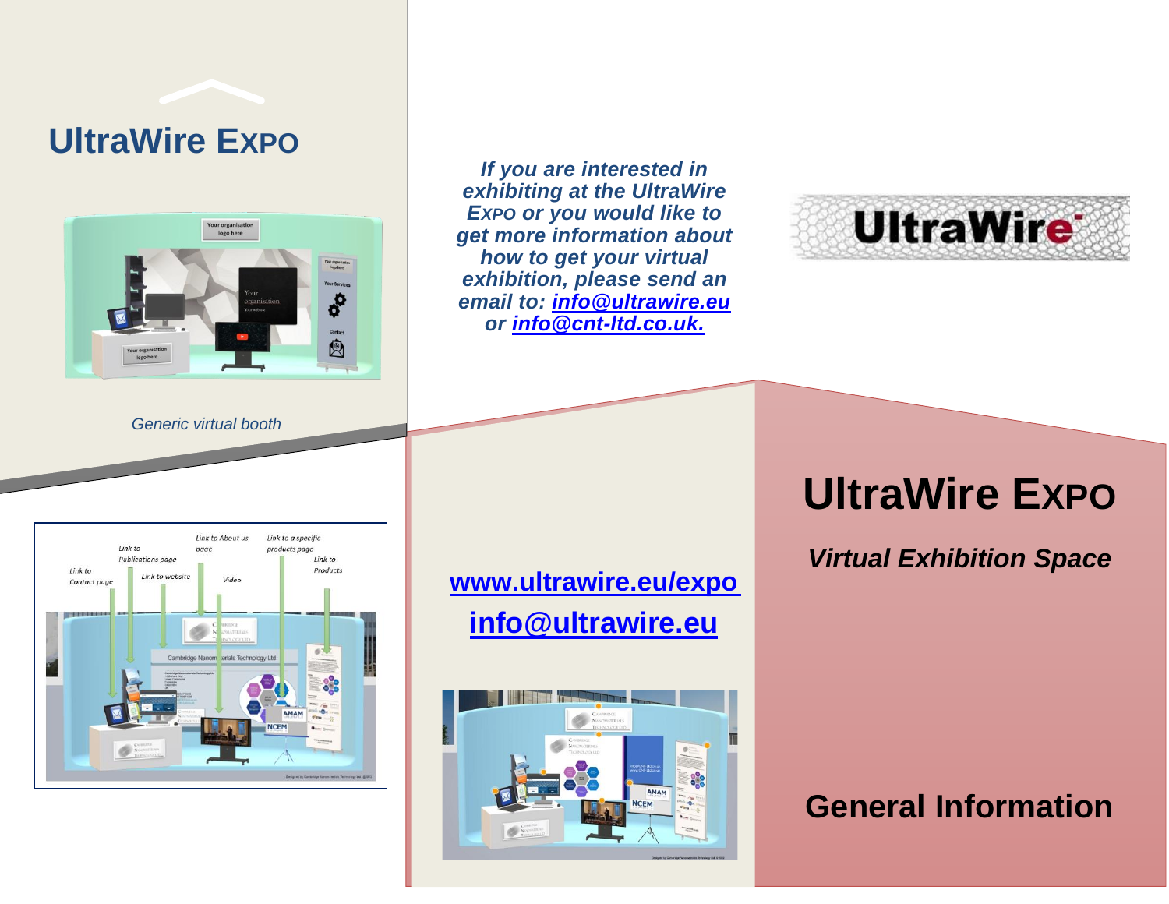## **UltraWire EXPO**



*Generic virtual booth*

*If you are interested in exhibiting at the UltraWire EXPO or you would like to get more information about how to get your virtual exhibition, please send an email to: [info@ultrawire.eu](mailto:info@ultrawire.eu) or [info@cnt-ltd.co.uk.](mailto:info@cnt-ltd.co.uk)*



#### Link to About us Link to a specific Link to products page  $nace$ Publications page  $link to$  $link to$ Products Link to website Video Contact pag -9999 als Technology Ltd

**[www.ultrawire.eu/expo](http://www.ultrawire.eu/expo) [info@ultrawire.eu](mailto:info@ultrawire.eu)**



# **UltraWire EXPO**

*Virtual Exhibition Space*

### **General Information**